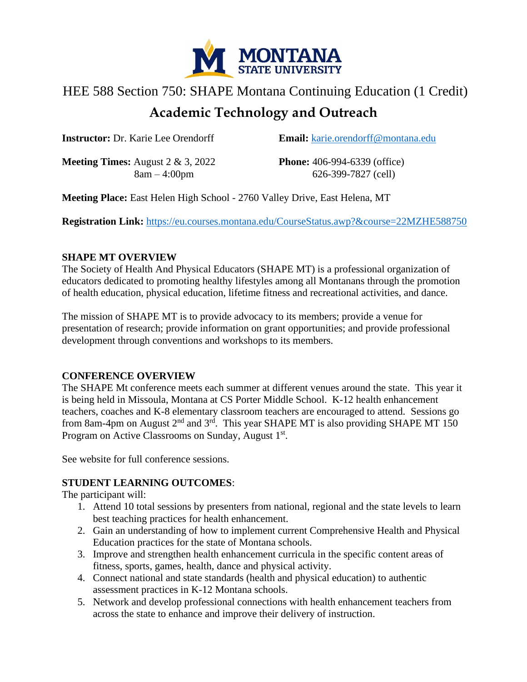

# HEE 588 Section 750: SHAPE Montana Continuing Education (1 Credit) **Academic Technology and Outreach**

**Instructor:** Dr. Karie Lee Orendorff **Email:** [karie.orendorff@montana.edu](mailto:karie.orendorff@montana.edu)

**Meeting Times:** August 2 & 3, 2022 **Phone:** 406-994-6339 (office)

8am – 4:00pm 626-399-7827 (cell)

**Meeting Place:** East Helen High School - 2760 Valley Drive, East Helena, MT

**Registration Link:** <https://eu.courses.montana.edu/CourseStatus.awp?&course=22MZHE588750>

## **SHAPE MT OVERVIEW**

The Society of Health And Physical Educators (SHAPE MT) is a professional organization of educators dedicated to promoting healthy lifestyles among all Montanans through the promotion of health education, physical education, lifetime fitness and recreational activities, and dance.

The mission of SHAPE MT is to provide advocacy to its members; provide a venue for presentation of research; provide information on grant opportunities; and provide professional development through conventions and workshops to its members.

## **CONFERENCE OVERVIEW**

The SHAPE Mt conference meets each summer at different venues around the state. This year it is being held in Missoula, Montana at CS Porter Middle School. K-12 health enhancement teachers, coaches and K-8 elementary classroom teachers are encouraged to attend. Sessions go from 8am-4pm on August  $2<sup>nd</sup>$  and  $3<sup>rd</sup>$ . This year SHAPE MT is also providing SHAPE MT 150 Program on Active Classrooms on Sunday, August 1<sup>st</sup>.

See website for full conference sessions.

# **STUDENT LEARNING OUTCOMES**:

The participant will:

- 1. Attend 10 total sessions by presenters from national, regional and the state levels to learn best teaching practices for health enhancement.
- 2. Gain an understanding of how to implement current Comprehensive Health and Physical Education practices for the state of Montana schools.
- 3. Improve and strengthen health enhancement curricula in the specific content areas of fitness, sports, games, health, dance and physical activity.
- 4. Connect national and state standards (health and physical education) to authentic assessment practices in K-12 Montana schools.
- 5. Network and develop professional connections with health enhancement teachers from across the state to enhance and improve their delivery of instruction.